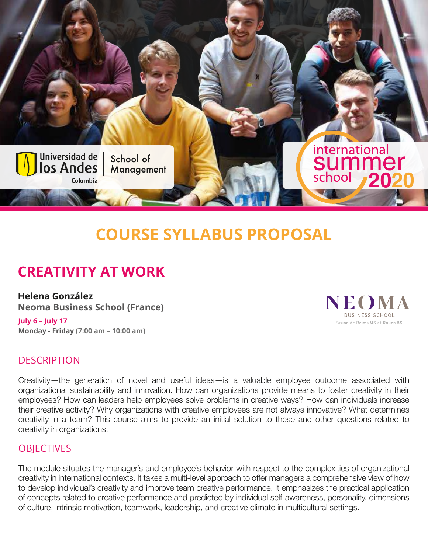

# **COURSE SYLLABUS PROPOSAL**

## **CREATIVITY AT WORK**

**Helena González Neoma Business School (France)**

### **July 6 – July 17 Monday - Friday (7:00 am – 10:00 am)**

## **DESCRIPTION**

Creativity—the generation of novel and useful ideas—is a valuable employee outcome associated with organizational sustainability and innovation. How can organizations provide means to foster creativity in their employees? How can leaders help employees solve problems in creative ways? How can individuals increase their creative activity? Why organizations with creative employees are not always innovative? What determines creativity in a team? This course aims to provide an initial solution to these and other questions related to creativity in organizations.

## **OBJECTIVES**

The module situates the manager's and employee's behavior with respect to the complexities of organizational creativity in international contexts. It takes a multi-level approach to offer managers a comprehensive view of how to develop individual's creativity and improve team creative performance. It emphasizes the practical application of concepts related to creative performance and predicted by individual self-awareness, personality, dimensions of culture, intrinsic motivation, teamwork, leadership, and creative climate in multicultural settings.